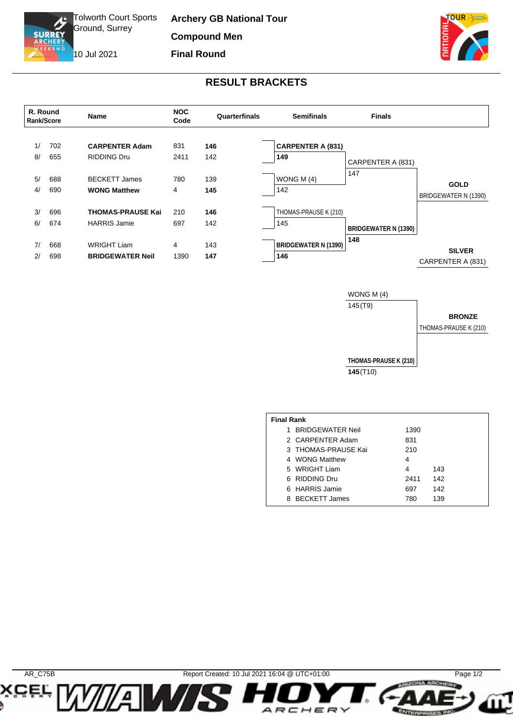Tolworth Court Sports Ground, Surrey

10 Jul 2021

ъ

**SURREY** 

**Archery GB National Tour Compound Men Final Round**



## **RESULT BRACKETS**



WONG M (4) 145(T9)



**THOMAS-PRAUSE K (210) 145**(T10)

| <b>Final Rank</b> |                         |      |     |  |  |  |  |  |
|-------------------|-------------------------|------|-----|--|--|--|--|--|
| 1                 | <b>BRIDGEWATER Neil</b> | 1390 |     |  |  |  |  |  |
|                   | 2 CARPENTER Adam        | 831  |     |  |  |  |  |  |
|                   | 3 THOMAS-PRAUSE Kai     | 210  |     |  |  |  |  |  |
|                   | 4 WONG Matthew          | 4    |     |  |  |  |  |  |
|                   | 5 WRIGHT Liam           | 4    | 143 |  |  |  |  |  |
|                   | 6 RIDDING Dru           | 2411 | 142 |  |  |  |  |  |
|                   | 6 HARRIS Jamie          | 697  | 142 |  |  |  |  |  |
|                   | 8 BECKETT James         | 780  | 139 |  |  |  |  |  |